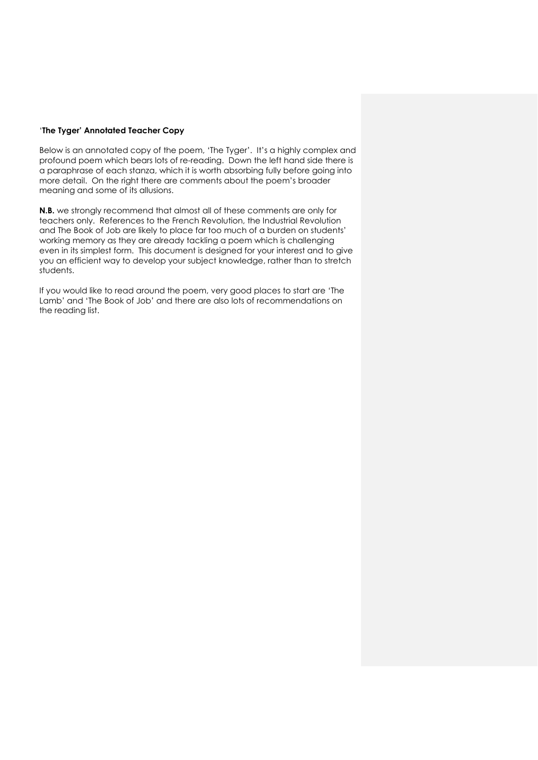## '**The Tyger' Annotated Teacher Copy**

Below is an annotated copy of the poem, 'The Tyger'. It's a highly complex and profound poem which bears lots of re-reading. Down the left hand side there is a paraphrase of each stanza, which it is worth absorbing fully before going into more detail. On the right there are comments about the poem's broader meaning and some of its allusions.

**N.B.** we strongly recommend that almost all of these comments are only for teachers only. References to the French Revolution, the Industrial Revolution and The Book of Job are likely to place far too much of a burden on students' working memory as they are already tackling a poem which is challenging even in its simplest form. This document is designed for your interest and to give you an efficient way to develop your subject knowledge, rather than to stretch students.

If you would like to read around the poem, very good places to start are 'The Lamb' and 'The Book of Job' and there are also lots of recommendations on the reading list.